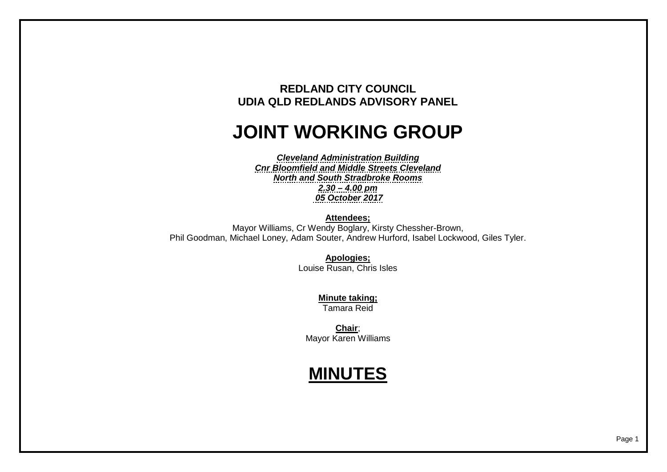## **REDLAND CITY COUNCIL UDIA QLD REDLANDS ADVISORY PANEL**

## **JOINT WORKING GROUP**

*Cleveland Administration Building Cnr Bloomfield and Middle Streets Cleveland North and South Stradbroke Rooms 2.30 – 4.00 pm 05 October 2017*

**Attendees;**

Mayor Williams, Cr Wendy Boglary, Kirsty Chessher-Brown, Phil Goodman, Michael Loney, Adam Souter, Andrew Hurford, Isabel Lockwood, Giles Tyler.

> **Apologies;** Louise Rusan, Chris Isles

> > **Minute taking;** Tamara Reid

**Chair**; Mayor Karen Williams

## **MINUTES**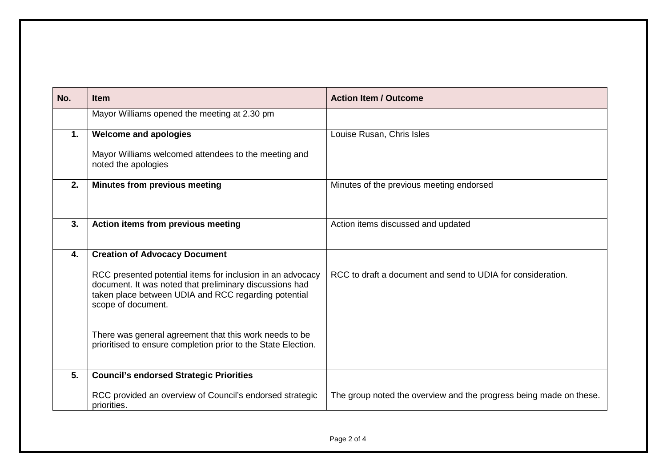| No. | <b>Item</b>                                                                                                                                                                                         | <b>Action Item / Outcome</b>                                       |
|-----|-----------------------------------------------------------------------------------------------------------------------------------------------------------------------------------------------------|--------------------------------------------------------------------|
|     | Mayor Williams opened the meeting at 2.30 pm                                                                                                                                                        |                                                                    |
| 1.  | <b>Welcome and apologies</b>                                                                                                                                                                        | Louise Rusan, Chris Isles                                          |
|     | Mayor Williams welcomed attendees to the meeting and<br>noted the apologies                                                                                                                         |                                                                    |
| 2.  | <b>Minutes from previous meeting</b>                                                                                                                                                                | Minutes of the previous meeting endorsed                           |
| 3.  | Action items from previous meeting                                                                                                                                                                  | Action items discussed and updated                                 |
| 4.  | <b>Creation of Advocacy Document</b>                                                                                                                                                                |                                                                    |
|     | RCC presented potential items for inclusion in an advocacy<br>document. It was noted that preliminary discussions had<br>taken place between UDIA and RCC regarding potential<br>scope of document. | RCC to draft a document and send to UDIA for consideration.        |
|     | There was general agreement that this work needs to be<br>prioritised to ensure completion prior to the State Election.                                                                             |                                                                    |
| 5.  | <b>Council's endorsed Strategic Priorities</b>                                                                                                                                                      |                                                                    |
|     | RCC provided an overview of Council's endorsed strategic<br>priorities.                                                                                                                             | The group noted the overview and the progress being made on these. |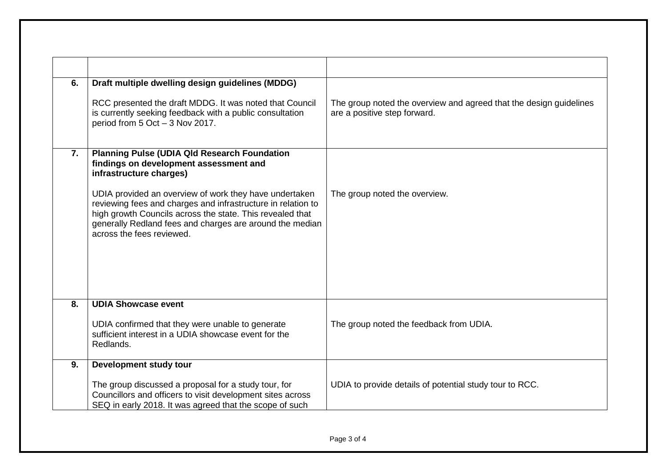| 6.               | Draft multiple dwelling design guidelines (MDDG)<br>RCC presented the draft MDDG. It was noted that Council<br>is currently seeking feedback with a public consultation<br>period from 5 Oct - 3 Nov 2017.                                                                                                                                                                                               | The group noted the overview and agreed that the design guidelines<br>are a positive step forward. |
|------------------|----------------------------------------------------------------------------------------------------------------------------------------------------------------------------------------------------------------------------------------------------------------------------------------------------------------------------------------------------------------------------------------------------------|----------------------------------------------------------------------------------------------------|
| $\overline{7}$ . | <b>Planning Pulse (UDIA QId Research Foundation</b><br>findings on development assessment and<br>infrastructure charges)<br>UDIA provided an overview of work they have undertaken<br>reviewing fees and charges and infrastructure in relation to<br>high growth Councils across the state. This revealed that<br>generally Redland fees and charges are around the median<br>across the fees reviewed. | The group noted the overview.                                                                      |
| 8.               | <b>UDIA Showcase event</b><br>UDIA confirmed that they were unable to generate<br>sufficient interest in a UDIA showcase event for the<br>Redlands.                                                                                                                                                                                                                                                      | The group noted the feedback from UDIA.                                                            |
| 9.               | Development study tour<br>The group discussed a proposal for a study tour, for<br>Councillors and officers to visit development sites across<br>SEQ in early 2018. It was agreed that the scope of such                                                                                                                                                                                                  | UDIA to provide details of potential study tour to RCC.                                            |